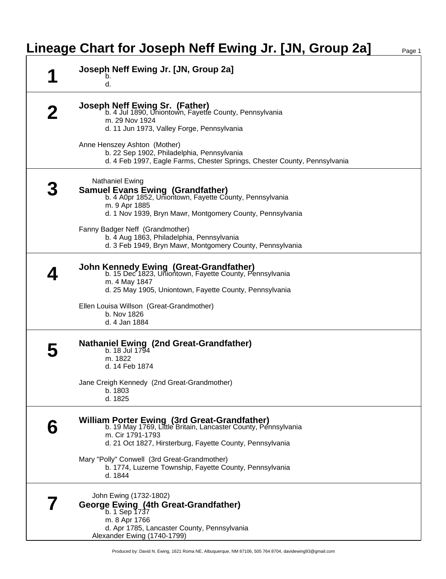## **Lineage Chart for Joseph Neff Ewing Jr. [JN, Group 2a]** Page 1

| Joseph Neff Ewing Jr. [JN, Group 2a]<br>b.<br>d.                                                                                                                                                                 |
|------------------------------------------------------------------------------------------------------------------------------------------------------------------------------------------------------------------|
| Joseph Neff Ewing Sr. (Father)<br>b. 4 Jul 1890, Uniontown, Fayette County, Pennsylvania<br>m. 29 Nov 1924<br>d. 11 Jun 1973, Valley Forge, Pennsylvania                                                         |
| Anne Henszey Ashton (Mother)<br>b. 22 Sep 1902, Philadelphia, Pennsylvania<br>d. 4 Feb 1997, Eagle Farms, Chester Springs, Chester County, Pennsylvania                                                          |
| <b>Nathaniel Ewing</b><br><b>Samuel Evans Ewing (Grandfather)</b><br>b. 4 A0pr 1852, Uniontown, Fayette County, Pennsylvania<br>m. 9 Apr 1885<br>d. 1 Nov 1939, Bryn Mawr, Montgomery County, Pennsylvania       |
| Fanny Badger Neff (Grandmother)<br>b. 4 Aug 1863, Philadelphia, Pennsylvania<br>d. 3 Feb 1949, Bryn Mawr, Montgomery County, Pennsylvania                                                                        |
| <b>John Kennedy Ewing (Great-Grandfather)</b><br>b. 15 Dec 1823, Uniontown, Fayette County, Pennsylvania<br>m. 4 May 1847<br>d. 25 May 1905, Uniontown, Fayette County, Pennsylvania                             |
| Ellen Louisa Willson (Great-Grandmother)<br>b. Nov 1826<br>d. 4 Jan 1884                                                                                                                                         |
| Nathaniel Ewing (2nd Great-Grandfather)<br>b. 18 Jul 1794<br>m. 1822<br>d. 14 Feb 1874<br>Jane Creigh Kennedy (2nd Great-Grandmother)<br>b. 1803<br>d. 1825                                                      |
| William Porter Ewing (3rd Great-Grandfather)<br>b. 19 May 1769, Little Britain, Lancaster County, Pennsylvania<br>m. Cir 1791-1793<br>d. 21 Oct 1827, Hirsterburg, Fayette County, Pennsylvania                  |
| Mary "Polly" Conwell (3rd Great-Grandmother)<br>b. 1774, Luzerne Township, Fayette County, Pennsylvania<br>d. 1844                                                                                               |
| John Ewing (1732-1802)<br><b>George Ewing (4th Great-Grandfather)</b><br>$\overline{b}$ . $\overline{1}$ Sep 1737<br>m. 8 Apr 1766<br>d. Apr 1785, Lancaster County, Pennsylvania<br>Alexander Ewing (1740-1799) |